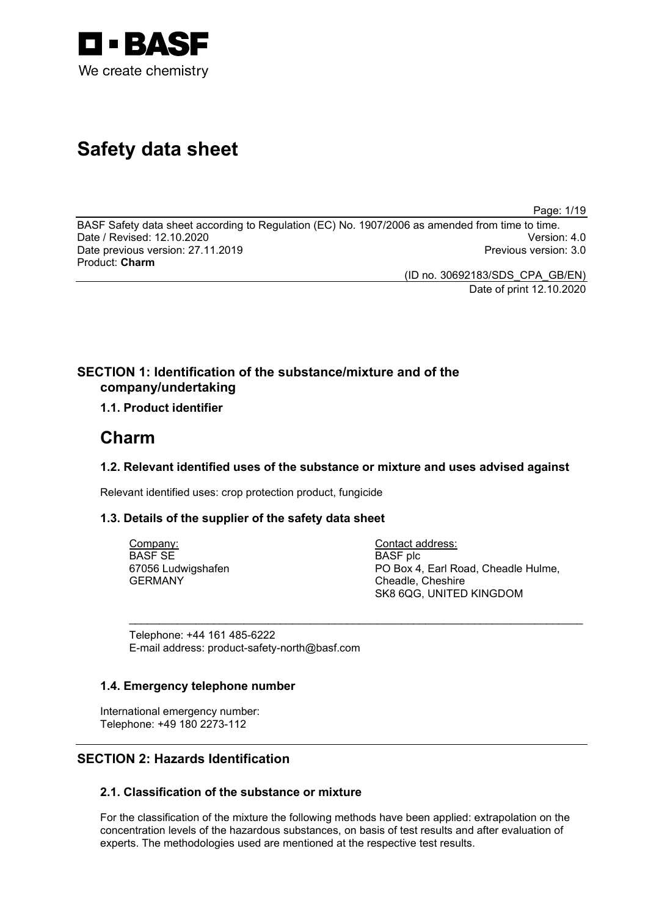

# **Safety data sheet**

Page: 1/19

BASF Safety data sheet according to Regulation (EC) No. 1907/2006 as amended from time to time. Date / Revised: 12.10.2020 Version: 4.0 Date previous version: 27.11.2019 Product: **Charm**

> (ID no. 30692183/SDS\_CPA\_GB/EN) Date of print 12.10.2020

# **SECTION 1: Identification of the substance/mixture and of the company/undertaking**

# **1.1. Product identifier**

# **Charm**

# **1.2. Relevant identified uses of the substance or mixture and uses advised against**

\_\_\_\_\_\_\_\_\_\_\_\_\_\_\_\_\_\_\_\_\_\_\_\_\_\_\_\_\_\_\_\_\_\_\_\_\_\_\_\_\_\_\_\_\_\_\_\_\_\_\_\_\_\_\_\_\_\_\_\_\_\_\_\_\_\_\_\_\_\_\_\_\_\_\_

Relevant identified uses: crop protection product, fungicide

# **1.3. Details of the supplier of the safety data sheet**

Company: BASF SE 67056 Ludwigshafen GERMANY

Contact address: BASF plc PO Box 4, Earl Road, Cheadle Hulme, Cheadle, Cheshire SK8 6QG, UNITED KINGDOM

Telephone: +44 161 485-6222 E-mail address: product-safety-north@basf.com

# **1.4. Emergency telephone number**

International emergency number: Telephone: +49 180 2273-112

# **SECTION 2: Hazards Identification**

# **2.1. Classification of the substance or mixture**

For the classification of the mixture the following methods have been applied: extrapolation on the concentration levels of the hazardous substances, on basis of test results and after evaluation of experts. The methodologies used are mentioned at the respective test results.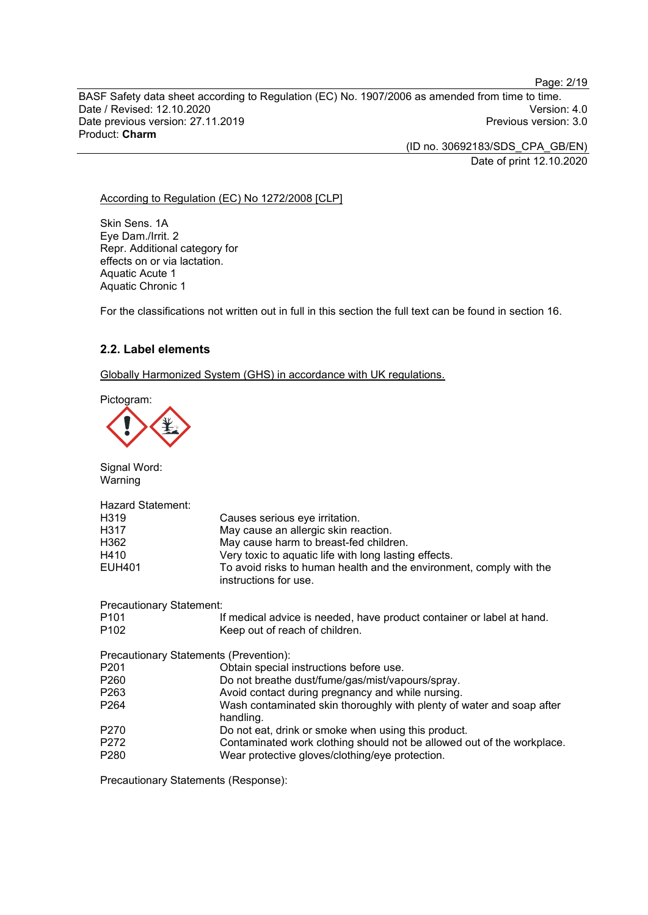BASF Safety data sheet according to Regulation (EC) No. 1907/2006 as amended from time to time. Date / Revised: 12.10.2020<br>Date previous version: 27.11.2019 Version: 3.0 Date previous version: 27.11.2019 Product: **Charm**

> (ID no. 30692183/SDS\_CPA\_GB/EN) Date of print 12.10.2020

#### According to Regulation (EC) No 1272/2008 [CLP]

Skin Sens. 1A Eye Dam./Irrit. 2 Repr. Additional category for effects on or via lactation. Aquatic Acute 1 Aquatic Chronic 1

For the classifications not written out in full in this section the full text can be found in section 16.

# **2.2. Label elements**

Globally Harmonized System (GHS) in accordance with UK regulations.

Pictogram:

Signal Word: Warning

| Hazard Statement:                      |                                                                                              |
|----------------------------------------|----------------------------------------------------------------------------------------------|
| H <sub>3</sub> 19                      | Causes serious eye irritation.                                                               |
| H317                                   | May cause an allergic skin reaction.                                                         |
| H362                                   | May cause harm to breast-fed children.                                                       |
| H410                                   | Very toxic to aquatic life with long lasting effects.                                        |
| EUH401                                 | To avoid risks to human health and the environment, comply with the<br>instructions for use. |
| <b>Precautionary Statement:</b>        |                                                                                              |
| P <sub>101</sub>                       | If medical advice is needed, have product container or label at hand.                        |
| P <sub>102</sub>                       | Keep out of reach of children.                                                               |
| Precautionary Statements (Prevention): |                                                                                              |
| P <sub>201</sub>                       | Obtain special instructions before use.                                                      |
| P <sub>260</sub>                       | Do not breathe dust/fume/gas/mist/vapours/spray.                                             |
| P <sub>263</sub>                       | Avoid contact during pregnancy and while nursing.                                            |
| P <sub>264</sub>                       | Wash contaminated skin thoroughly with plenty of water and soap after<br>handling.           |
| P270                                   | Do not eat, drink or smoke when using this product.                                          |
| P272                                   | Contaminated work clothing should not be allowed out of the workplace.                       |
| P <sub>280</sub>                       | Wear protective gloves/clothing/eye protection.                                              |
|                                        |                                                                                              |

Precautionary Statements (Response):

Page: 2/19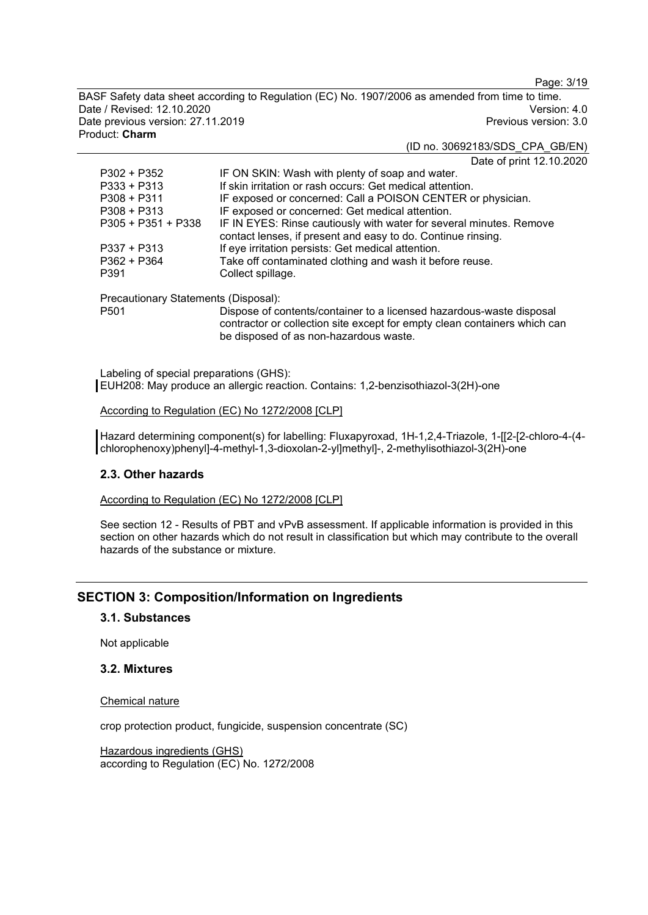Page: 3/19

BASF Safety data sheet according to Regulation (EC) No. 1907/2006 as amended from time to time. Date / Revised: 12.10.2020 Version: 4.0 Date previous version: 27.11.2019 Product: **Charm**

# (ID no. 30692183/SDS\_CPA\_GB/EN)

Date of print 12.10.2020

| $P302 + P352$        | IF ON SKIN: Wash with plenty of soap and water.                                                                                     |
|----------------------|-------------------------------------------------------------------------------------------------------------------------------------|
| $P333 + P313$        | If skin irritation or rash occurs: Get medical attention.                                                                           |
| $P308 + P311$        | IF exposed or concerned: Call a POISON CENTER or physician.                                                                         |
| $P308 + P313$        | IF exposed or concerned: Get medical attention.                                                                                     |
| $P305 + P351 + P338$ | IF IN EYES: Rinse cautiously with water for several minutes. Remove<br>contact lenses, if present and easy to do. Continue rinsing. |
| $P337 + P313$        | If eye irritation persists: Get medical attention.                                                                                  |
| $P362 + P364$        | Take off contaminated clothing and wash it before reuse.                                                                            |
| P391                 | Collect spillage.                                                                                                                   |
|                      |                                                                                                                                     |

Precautionary Statements (Disposal):

Dispose of contents/container to a licensed hazardous-waste disposal contractor or collection site except for empty clean containers which can be disposed of as non-hazardous waste.

Labeling of special preparations (GHS): EUH208: May produce an allergic reaction. Contains: 1,2-benzisothiazol-3(2H)-one

According to Regulation (EC) No 1272/2008 [CLP]

Hazard determining component(s) for labelling: Fluxapyroxad, 1H-1,2,4-Triazole, 1-[[2-[2-chloro-4-(4chlorophenoxy)phenyl]-4-methyl-1,3-dioxolan-2-yl]methyl]-, 2-methylisothiazol-3(2H)-one

# **2.3. Other hazards**

According to Regulation (EC) No 1272/2008 [CLP]

See section 12 - Results of PBT and vPvB assessment. If applicable information is provided in this section on other hazards which do not result in classification but which may contribute to the overall hazards of the substance or mixture.

# **SECTION 3: Composition/Information on Ingredients**

## **3.1. Substances**

Not applicable

## **3.2. Mixtures**

#### Chemical nature

crop protection product, fungicide, suspension concentrate (SC)

Hazardous ingredients (GHS) according to Regulation (EC) No. 1272/2008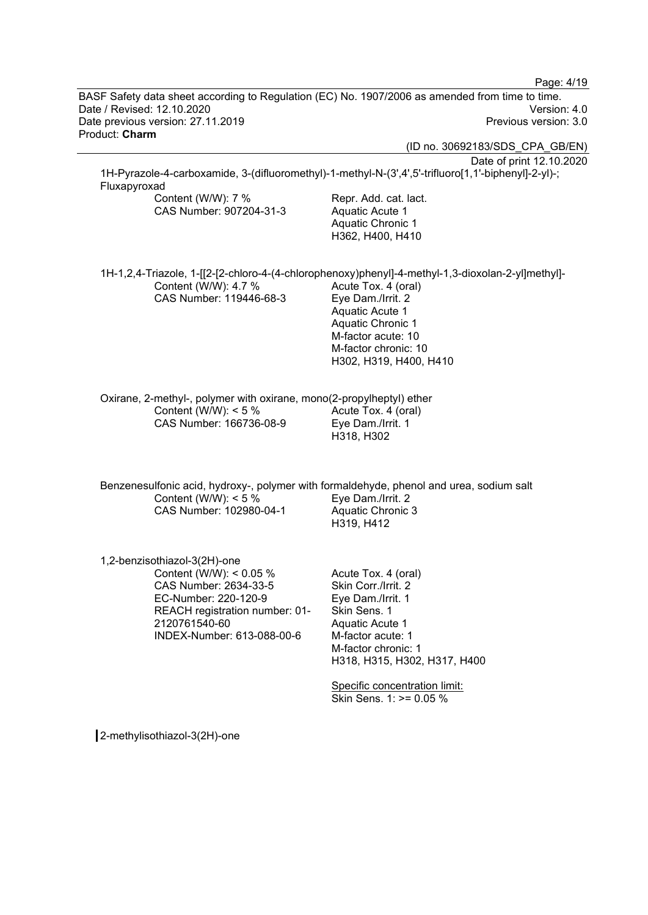Page: 4/19 BASF Safety data sheet according to Regulation (EC) No. 1907/2006 as amended from time to time. Date / Revised: 12.10.2020 Version: 4.0 Date previous version: 27.11.2019 Product: **Charm** (ID no. 30692183/SDS\_CPA\_GB/EN) Date of print 12.10.2020 1H-Pyrazole-4-carboxamide, 3-(difluoromethyl)-1-methyl-N-(3',4',5'-trifluoro[1,1'-biphenyl]-2-yl)-; Fluxapyroxad Content (W/W): 7 % CAS Number: 907204-31-3 Repr. Add. cat. lact. Aquatic Acute 1 Aquatic Chronic 1 H362, H400, H410 1H-1,2,4-Triazole, 1-[[2-[2-chloro-4-(4-chlorophenoxy)phenyl]-4-methyl-1,3-dioxolan-2-yl]methyl]- Content (W/W): 4.7 % CAS Number: 119446-68-3 Acute Tox. 4 (oral) Eye Dam./Irrit. 2 Aquatic Acute 1 Aquatic Chronic 1 M-factor acute: 10 M-factor chronic: 10 H302, H319, H400, H410 Oxirane, 2-methyl-, polymer with oxirane, mono(2-propylheptyl) ether Content (W/W):  $< 5 \%$ CAS Number: 166736-08-9 Acute Tox. 4 (oral) Eye Dam./Irrit. 1 H318, H302 Benzenesulfonic acid, hydroxy-, polymer with formaldehyde, phenol and urea, sodium salt Content (W/W): < 5 % CAS Number: 102980-04-1 Eye Dam./Irrit. 2 Aquatic Chronic 3 H319, H412 1,2-benzisothiazol-3(2H)-one Content (W/W): < 0.05 % CAS Number: 2634-33-5 EC-Number: 220-120-9 REACH registration number: 01- 2120761540-60 INDEX-Number: 613-088-00-6 Acute Tox. 4 (oral) Skin Corr./Irrit. 2 Eye Dam./Irrit. 1 Skin Sens. 1 Aquatic Acute 1 M-factor acute: 1 M-factor chronic: 1 H318, H315, H302, H317, H400 Specific concentration limit: Skin Sens. 1: >= 0.05 %

2-methylisothiazol-3(2H)-one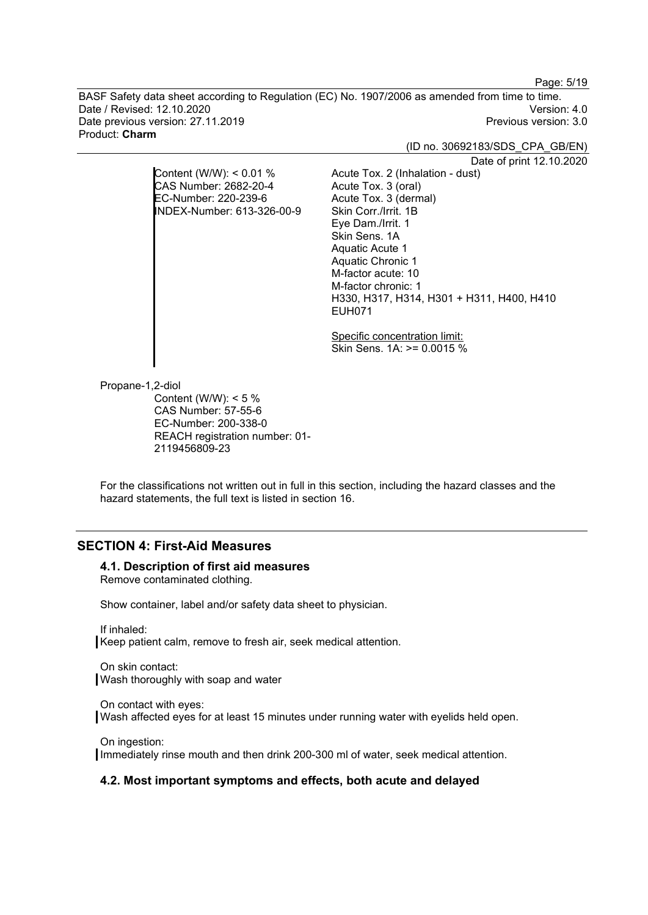Page: 5/19

BASF Safety data sheet according to Regulation (EC) No. 1907/2006 as amended from time to time. Date / Revised: 12.10.2020 Version: 4.0 Date previous version: 27.11.2019 Product: **Charm**

(ID no. 30692183/SDS\_CPA\_GB/EN)

Date of print 12.10.2020

Content (W/W): < 0.01 % CAS Number: 2682-20-4 EC-Number: 220-239-6 INDEX-Number: 613-326-00-9

> Specific concentration limit: Skin Sens. 1A: >= 0.0015 %

H330, H317, H314, H301 + H311, H400, H410

Acute Tox. 2 (Inhalation - dust)

Acute Tox. 3 (oral) Acute Tox. 3 (dermal) Skin Corr./Irrit. 1B Eye Dam./Irrit. 1 Skin Sens. 1A Aquatic Acute 1 Aquatic Chronic 1 M-factor acute: 10 M-factor chronic: 1

EUH071

Propane-1,2-diol

Content (W/W):  $< 5 \%$ CAS Number: 57-55-6 EC-Number: 200-338-0 REACH registration number: 01- 2119456809-23

For the classifications not written out in full in this section, including the hazard classes and the hazard statements, the full text is listed in section 16.

# **SECTION 4: First-Aid Measures**

#### **4.1. Description of first aid measures**

Remove contaminated clothing.

Show container, label and/or safety data sheet to physician.

If inhaled: Keep patient calm, remove to fresh air, seek medical attention.

On skin contact: Wash thoroughly with soap and water

On contact with eyes: Wash affected eyes for at least 15 minutes under running water with eyelids held open.

On ingestion: Immediately rinse mouth and then drink 200-300 ml of water, seek medical attention.

#### **4.2. Most important symptoms and effects, both acute and delayed**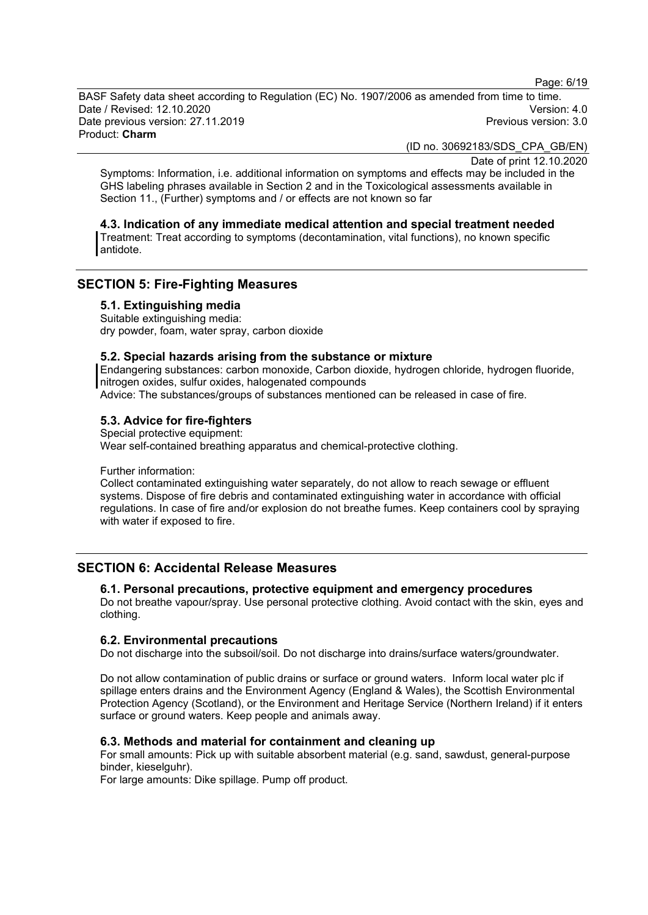Page: 6/19

BASF Safety data sheet according to Regulation (EC) No. 1907/2006 as amended from time to time. Date / Revised: 12.10.2020 Version: 4.0 Date previous version: 27.11.2019 Product: **Charm**

(ID no. 30692183/SDS\_CPA\_GB/EN)

Date of print 12.10.2020

Symptoms: Information, i.e. additional information on symptoms and effects may be included in the GHS labeling phrases available in Section 2 and in the Toxicological assessments available in Section 11., (Further) symptoms and / or effects are not known so far

#### **4.3. Indication of any immediate medical attention and special treatment needed**

Treatment: Treat according to symptoms (decontamination, vital functions), no known specific antidote.

# **SECTION 5: Fire-Fighting Measures**

**5.1. Extinguishing media**

Suitable extinguishing media: dry powder, foam, water spray, carbon dioxide

# **5.2. Special hazards arising from the substance or mixture**

Endangering substances: carbon monoxide, Carbon dioxide, hydrogen chloride, hydrogen fluoride, nitrogen oxides, sulfur oxides, halogenated compounds

Advice: The substances/groups of substances mentioned can be released in case of fire.

### **5.3. Advice for fire-fighters**

Special protective equipment: Wear self-contained breathing apparatus and chemical-protective clothing.

Further information:

Collect contaminated extinguishing water separately, do not allow to reach sewage or effluent systems. Dispose of fire debris and contaminated extinguishing water in accordance with official regulations. In case of fire and/or explosion do not breathe fumes. Keep containers cool by spraying with water if exposed to fire.

# **SECTION 6: Accidental Release Measures**

### **6.1. Personal precautions, protective equipment and emergency procedures**

Do not breathe vapour/spray. Use personal protective clothing. Avoid contact with the skin, eyes and clothing.

#### **6.2. Environmental precautions**

Do not discharge into the subsoil/soil. Do not discharge into drains/surface waters/groundwater.

Do not allow contamination of public drains or surface or ground waters. Inform local water plc if spillage enters drains and the Environment Agency (England & Wales), the Scottish Environmental Protection Agency (Scotland), or the Environment and Heritage Service (Northern Ireland) if it enters surface or ground waters. Keep people and animals away.

### **6.3. Methods and material for containment and cleaning up**

For small amounts: Pick up with suitable absorbent material (e.g. sand, sawdust, general-purpose binder, kieselguhr).

For large amounts: Dike spillage. Pump off product.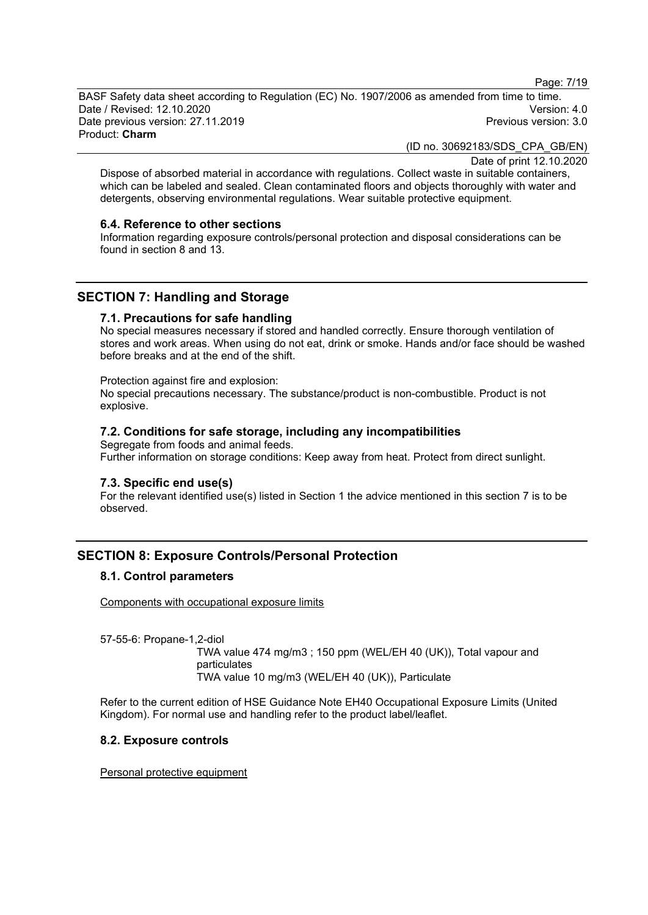Page: 7/19

BASF Safety data sheet according to Regulation (EC) No. 1907/2006 as amended from time to time. Date / Revised: 12.10.2020 Version: 4.0 Date previous version: 27.11.2019 Product: **Charm**

(ID no. 30692183/SDS\_CPA\_GB/EN)

Date of print 12.10.2020

Dispose of absorbed material in accordance with regulations. Collect waste in suitable containers, which can be labeled and sealed. Clean contaminated floors and objects thoroughly with water and detergents, observing environmental regulations. Wear suitable protective equipment.

#### **6.4. Reference to other sections**

Information regarding exposure controls/personal protection and disposal considerations can be found in section 8 and 13.

# **SECTION 7: Handling and Storage**

#### **7.1. Precautions for safe handling**

No special measures necessary if stored and handled correctly. Ensure thorough ventilation of stores and work areas. When using do not eat, drink or smoke. Hands and/or face should be washed before breaks and at the end of the shift.

#### Protection against fire and explosion:

No special precautions necessary. The substance/product is non-combustible. Product is not explosive.

# **7.2. Conditions for safe storage, including any incompatibilities**

Segregate from foods and animal feeds. Further information on storage conditions: Keep away from heat. Protect from direct sunlight.

#### **7.3. Specific end use(s)**

For the relevant identified use(s) listed in Section 1 the advice mentioned in this section 7 is to be observed.

# **SECTION 8: Exposure Controls/Personal Protection**

## **8.1. Control parameters**

Components with occupational exposure limits

57-55-6: Propane-1,2-diol

TWA value 474 mg/m3 ; 150 ppm (WEL/EH 40 (UK)), Total vapour and particulates TWA value 10 mg/m3 (WEL/EH 40 (UK)), Particulate

Refer to the current edition of HSE Guidance Note EH40 Occupational Exposure Limits (United Kingdom). For normal use and handling refer to the product label/leaflet.

### **8.2. Exposure controls**

Personal protective equipment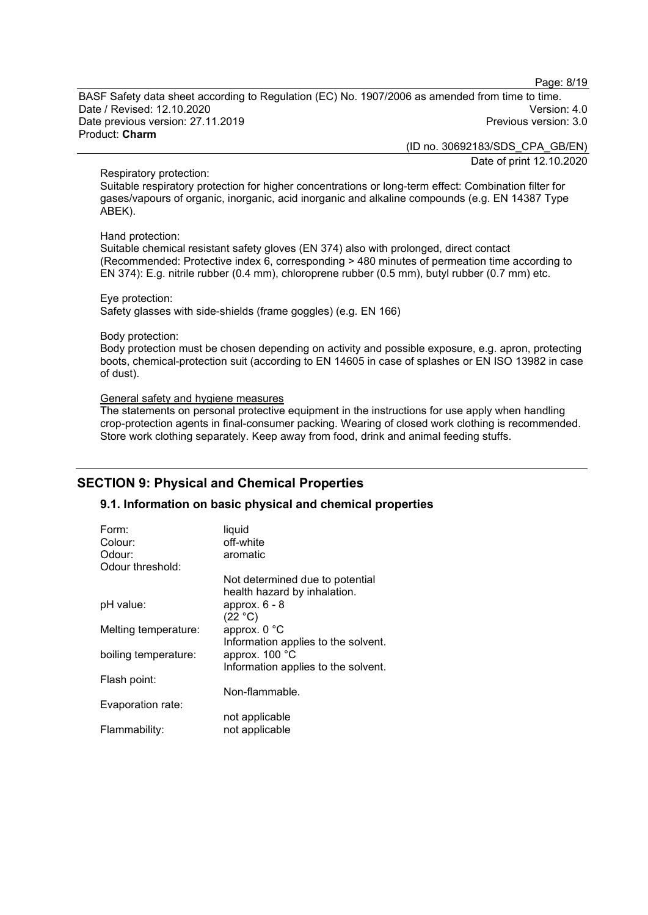Page: 8/19

BASF Safety data sheet according to Regulation (EC) No. 1907/2006 as amended from time to time. Date / Revised: 12.10.2020 Version: 4.0 Date previous version: 27.11.2019 Product: **Charm**

> (ID no. 30692183/SDS\_CPA\_GB/EN) Date of print 12.10.2020

#### Respiratory protection:

Suitable respiratory protection for higher concentrations or long-term effect: Combination filter for gases/vapours of organic, inorganic, acid inorganic and alkaline compounds (e.g. EN 14387 Type ABEK).

#### Hand protection:

Suitable chemical resistant safety gloves (EN 374) also with prolonged, direct contact (Recommended: Protective index 6, corresponding > 480 minutes of permeation time according to EN 374): E.g. nitrile rubber (0.4 mm), chloroprene rubber (0.5 mm), butyl rubber (0.7 mm) etc.

#### Eye protection:

Safety glasses with side-shields (frame goggles) (e.g. EN 166)

#### Body protection:

Body protection must be chosen depending on activity and possible exposure, e.g. apron, protecting boots, chemical-protection suit (according to EN 14605 in case of splashes or EN ISO 13982 in case of dust).

#### General safety and hygiene measures

The statements on personal protective equipment in the instructions for use apply when handling crop-protection agents in final-consumer packing. Wearing of closed work clothing is recommended. Store work clothing separately. Keep away from food, drink and animal feeding stuffs.

# **SECTION 9: Physical and Chemical Properties**

# **9.1. Information on basic physical and chemical properties**

| Form:                | liquid                                                          |
|----------------------|-----------------------------------------------------------------|
| Colour:              | off-white                                                       |
| Odour:               | aromatic                                                        |
| Odour threshold:     |                                                                 |
|                      | Not determined due to potential<br>health hazard by inhalation. |
| pH value:            | approx. $6 - 8$<br>(22 °C)                                      |
| Melting temperature: | approx. 0 °C<br>Information applies to the solvent.             |
| boiling temperature: | approx. 100 °C<br>Information applies to the solvent.           |
| Flash point:         | Non-flammable.                                                  |
| Evaporation rate:    |                                                                 |
| Flammability:        | not applicable<br>not applicable                                |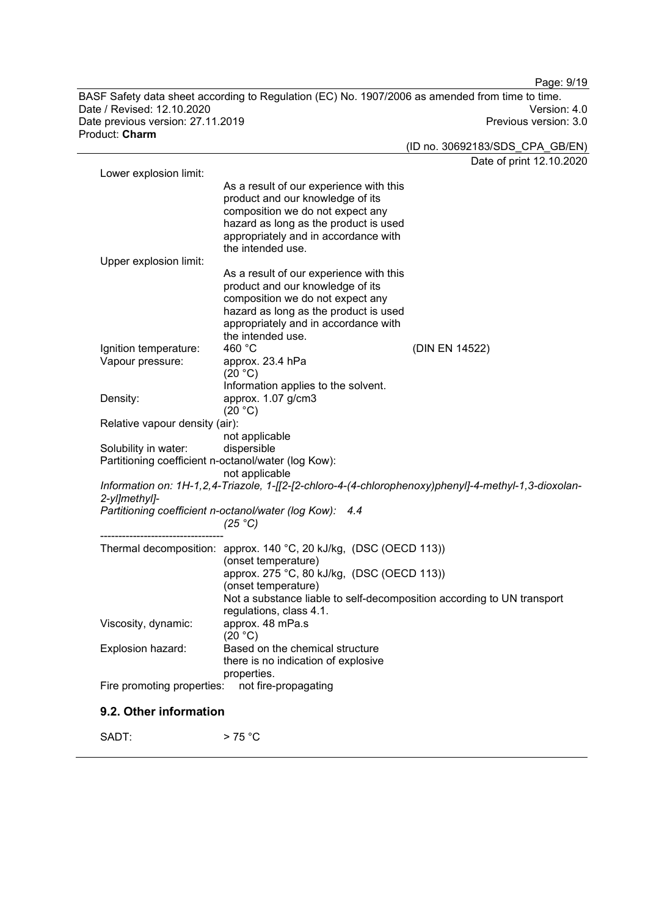BASF Safety data sheet according to Regulation (EC) No. 1907/2006 as amended from time to time. Date / Revised: 12.10.2020 Version: 4.0 Date previous version: 27.11.2019 Product: **Charm**

(ID no. 30692183/SDS\_CPA\_GB/EN) Date of print 12.10.2020 Lower explosion limit: As a result of our experience with this product and our knowledge of its composition we do not expect any hazard as long as the product is used appropriately and in accordance with the intended use. Upper explosion limit: As a result of our experience with this product and our knowledge of its composition we do not expect any hazard as long as the product is used appropriately and in accordance with the intended use.<br>460 $^{\circ}$ C Ignition temperature: 460 °C<br>Vapour pressure: approx. 23.4 hPa Vapour pressure:  $(20 °C)$ Information applies to the solvent. Density: approx. 1.07 g/cm3  $(20 °C)$ Relative vapour density (air): not applicable Solubility in water: Partitioning coefficient n-octanol/water (log Kow): not applicable *Information on: 1H-1,2,4-Triazole, 1-[[2-[2-chloro-4-(4-chlorophenoxy)phenyl]-4-methyl-1,3-dioxolan-2-yl]methyl]- Partitioning coefficient n-octanol/water (log Kow): 4.4 (25 °C)* ---------------------------------- Thermal decomposition: approx. 140 °C, 20 kJ/kg, (DSC (OECD 113)) (onset temperature) approx. 275 °C, 80 kJ/kg, (DSC (OECD 113)) (onset temperature) Not a substance liable to self-decomposition according to UN transport regulations, class 4.1.<br>approx. 48 mPa.s Viscosity, dynamic:  $(20 °C)$ Explosion hazard: Based on the chemical structure there is no indication of explosive properties.<br>: not fire-propagating Fire promoting properties:

## **9.2. Other information**

 $SADT:$  > 75 °C

Page: 9/19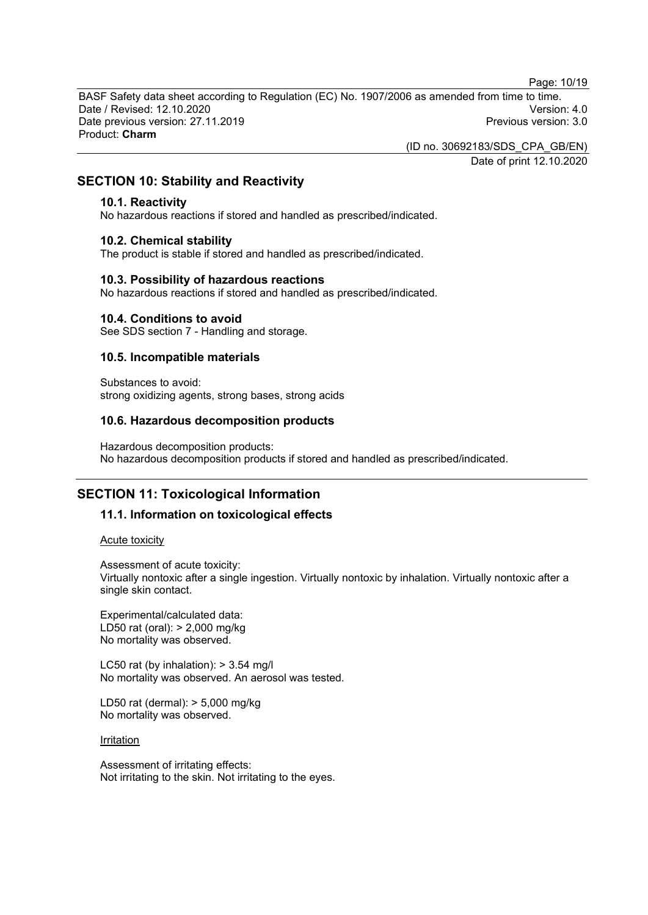Page: 10/19

BASF Safety data sheet according to Regulation (EC) No. 1907/2006 as amended from time to time. Date / Revised: 12.10.2020 Version: 4.0 Date previous version: 27.11.2019 Product: **Charm**

(ID no. 30692183/SDS\_CPA\_GB/EN)

Date of print 12.10.2020

# **SECTION 10: Stability and Reactivity**

#### **10.1. Reactivity**

No hazardous reactions if stored and handled as prescribed/indicated.

#### **10.2. Chemical stability**

The product is stable if stored and handled as prescribed/indicated.

#### **10.3. Possibility of hazardous reactions**

No hazardous reactions if stored and handled as prescribed/indicated.

#### **10.4. Conditions to avoid**

See SDS section 7 - Handling and storage.

### **10.5. Incompatible materials**

Substances to avoid: strong oxidizing agents, strong bases, strong acids

#### **10.6. Hazardous decomposition products**

Hazardous decomposition products: No hazardous decomposition products if stored and handled as prescribed/indicated.

# **SECTION 11: Toxicological Information**

### **11.1. Information on toxicological effects**

Acute toxicity

Assessment of acute toxicity:

Virtually nontoxic after a single ingestion. Virtually nontoxic by inhalation. Virtually nontoxic after a single skin contact.

Experimental/calculated data: LD50 rat (oral): > 2,000 mg/kg No mortality was observed.

LC50 rat (by inhalation):  $> 3.54$  mg/l No mortality was observed. An aerosol was tested.

LD50 rat (dermal): > 5,000 mg/kg No mortality was observed.

#### **Irritation**

Assessment of irritating effects: Not irritating to the skin. Not irritating to the eyes.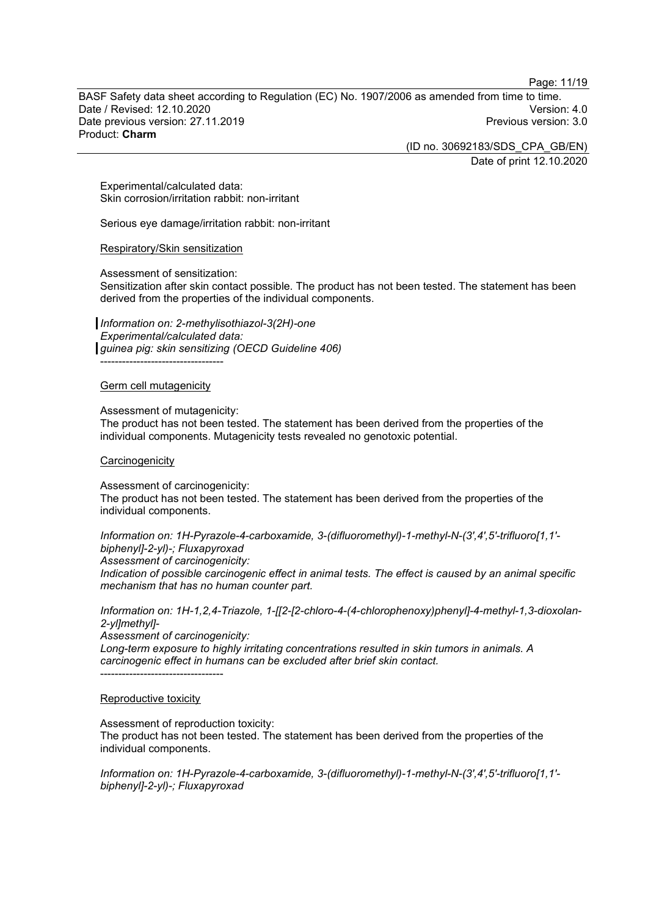Page: 11/19

BASF Safety data sheet according to Regulation (EC) No. 1907/2006 as amended from time to time. Date / Revised: 12.10.2020 Version: 4.0 Date previous version: 27.11.2019 Product: **Charm**

> (ID no. 30692183/SDS\_CPA\_GB/EN) Date of print 12.10.2020

Experimental/calculated data: Skin corrosion/irritation rabbit: non-irritant

Serious eye damage/irritation rabbit: non-irritant

#### Respiratory/Skin sensitization

Assessment of sensitization:

Sensitization after skin contact possible. The product has not been tested. The statement has been derived from the properties of the individual components.

*Information on: 2-methylisothiazol-3(2H)-one Experimental/calculated data: guinea pig: skin sensitizing (OECD Guideline 406)* ----------------------------------

#### Germ cell mutagenicity

Assessment of mutagenicity:

The product has not been tested. The statement has been derived from the properties of the individual components. Mutagenicity tests revealed no genotoxic potential.

#### **Carcinogenicity**

Assessment of carcinogenicity: The product has not been tested. The statement has been derived from the properties of the individual components.

*Information on: 1H-Pyrazole-4-carboxamide, 3-(difluoromethyl)-1-methyl-N-(3',4',5'-trifluoro[1,1' biphenyl]-2-yl)-; Fluxapyroxad*

*Assessment of carcinogenicity:*

*Indication of possible carcinogenic effect in animal tests. The effect is caused by an animal specific mechanism that has no human counter part.*

*Information on: 1H-1,2,4-Triazole, 1-[[2-[2-chloro-4-(4-chlorophenoxy)phenyl]-4-methyl-1,3-dioxolan-2-yl]methyl]-*

*Assessment of carcinogenicity:*

*Long-term exposure to highly irritating concentrations resulted in skin tumors in animals. A carcinogenic effect in humans can be excluded after brief skin contact.* ----------------------------------

#### Reproductive toxicity

Assessment of reproduction toxicity:

The product has not been tested. The statement has been derived from the properties of the individual components.

*Information on: 1H-Pyrazole-4-carboxamide, 3-(difluoromethyl)-1-methyl-N-(3',4',5'-trifluoro[1,1' biphenyl]-2-yl)-; Fluxapyroxad*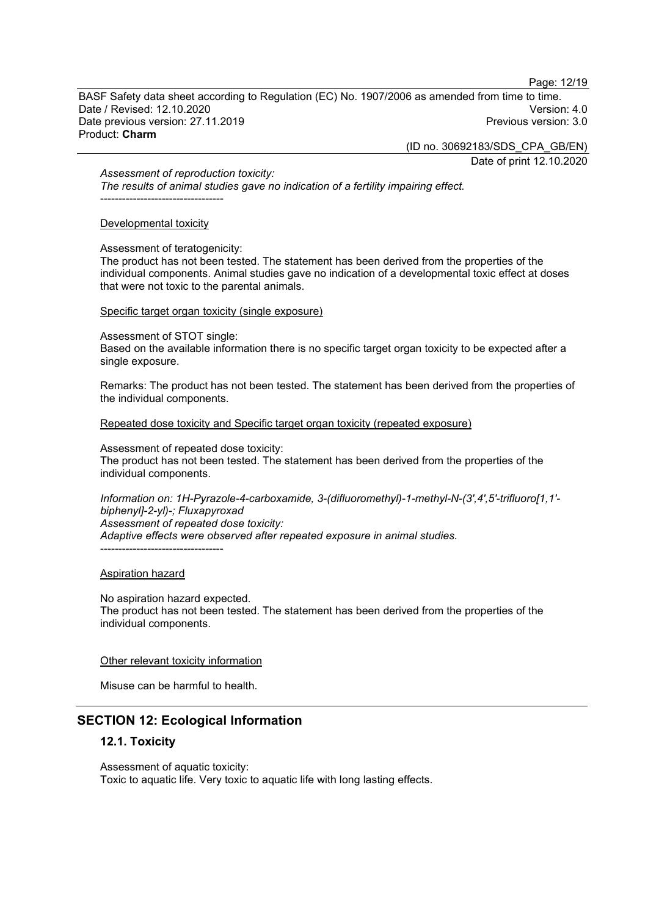Page: 12/19

BASF Safety data sheet according to Regulation (EC) No. 1907/2006 as amended from time to time. Date / Revised: 12.10.2020 Version: 4.0 Date previous version: 27.11.2019 Product: **Charm**

(ID no. 30692183/SDS\_CPA\_GB/EN)

Date of print 12.10.2020

*Assessment of reproduction toxicity:*

*The results of animal studies gave no indication of a fertility impairing effect.* ----------------------------------

#### Developmental toxicity

Assessment of teratogenicity:

The product has not been tested. The statement has been derived from the properties of the individual components. Animal studies gave no indication of a developmental toxic effect at doses that were not toxic to the parental animals.

#### Specific target organ toxicity (single exposure)

Assessment of STOT single:

Based on the available information there is no specific target organ toxicity to be expected after a single exposure.

Remarks: The product has not been tested. The statement has been derived from the properties of the individual components.

Repeated dose toxicity and Specific target organ toxicity (repeated exposure)

Assessment of repeated dose toxicity:

The product has not been tested. The statement has been derived from the properties of the individual components.

*Information on: 1H-Pyrazole-4-carboxamide, 3-(difluoromethyl)-1-methyl-N-(3',4',5'-trifluoro[1,1' biphenyl]-2-yl)-; Fluxapyroxad Assessment of repeated dose toxicity: Adaptive effects were observed after repeated exposure in animal studies.* ----------------------------------

### Aspiration hazard

No aspiration hazard expected. The product has not been tested. The statement has been derived from the properties of the individual components.

### Other relevant toxicity information

Misuse can be harmful to health.

# **SECTION 12: Ecological Information**

### **12.1. Toxicity**

Assessment of aquatic toxicity: Toxic to aquatic life. Very toxic to aquatic life with long lasting effects.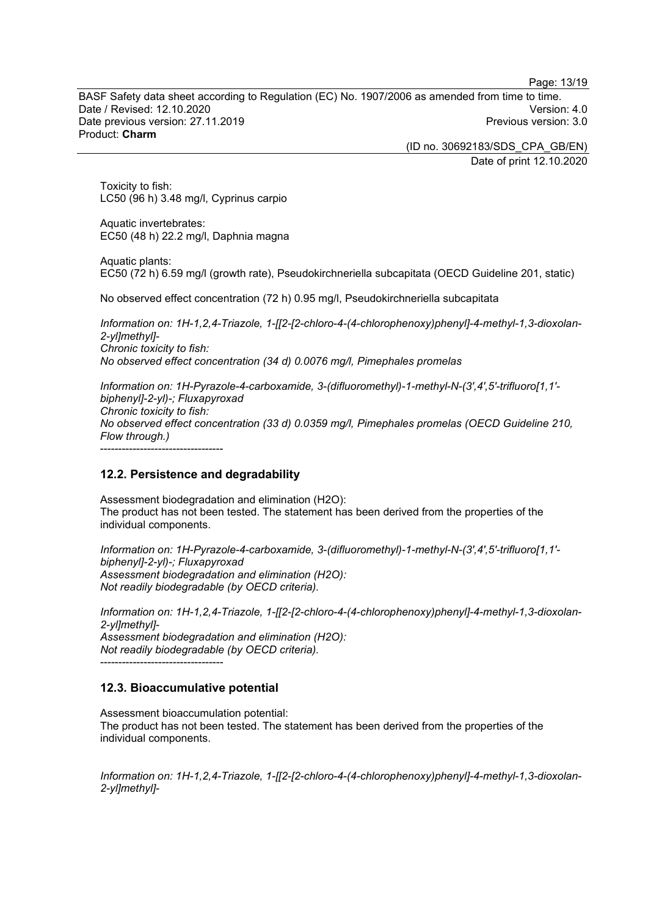Page: 13/19

BASF Safety data sheet according to Regulation (EC) No. 1907/2006 as amended from time to time. Date / Revised: 12.10.2020 Version: 4.0 Date previous version: 27.11.2019 Product: **Charm**

> (ID no. 30692183/SDS\_CPA\_GB/EN) Date of print 12.10.2020

Toxicity to fish: LC50 (96 h) 3.48 mg/l, Cyprinus carpio

Aquatic invertebrates: EC50 (48 h) 22.2 mg/l, Daphnia magna

Aquatic plants: EC50 (72 h) 6.59 mg/l (growth rate), Pseudokirchneriella subcapitata (OECD Guideline 201, static)

No observed effect concentration (72 h) 0.95 mg/l, Pseudokirchneriella subcapitata

*Information on: 1H-1,2,4-Triazole, 1-[[2-[2-chloro-4-(4-chlorophenoxy)phenyl]-4-methyl-1,3-dioxolan-2-yl]methyl]- Chronic toxicity to fish: No observed effect concentration (34 d) 0.0076 mg/l, Pimephales promelas*

*Information on: 1H-Pyrazole-4-carboxamide, 3-(difluoromethyl)-1-methyl-N-(3',4',5'-trifluoro[1,1' biphenyl]-2-yl)-; Fluxapyroxad Chronic toxicity to fish: No observed effect concentration (33 d) 0.0359 mg/l, Pimephales promelas (OECD Guideline 210, Flow through.)* ----------------------------------

# **12.2. Persistence and degradability**

Assessment biodegradation and elimination (H2O): The product has not been tested. The statement has been derived from the properties of the individual components.

*Information on: 1H-Pyrazole-4-carboxamide, 3-(difluoromethyl)-1-methyl-N-(3',4',5'-trifluoro[1,1' biphenyl]-2-yl)-; Fluxapyroxad Assessment biodegradation and elimination (H2O): Not readily biodegradable (by OECD criteria).*

*Information on: 1H-1,2,4-Triazole, 1-[[2-[2-chloro-4-(4-chlorophenoxy)phenyl]-4-methyl-1,3-dioxolan-2-yl]methyl]- Assessment biodegradation and elimination (H2O): Not readily biodegradable (by OECD criteria).*

----------------------------------

# **12.3. Bioaccumulative potential**

Assessment bioaccumulation potential: The product has not been tested. The statement has been derived from the properties of the individual components.

*Information on: 1H-1,2,4-Triazole, 1-[[2-[2-chloro-4-(4-chlorophenoxy)phenyl]-4-methyl-1,3-dioxolan-2-yl]methyl]-*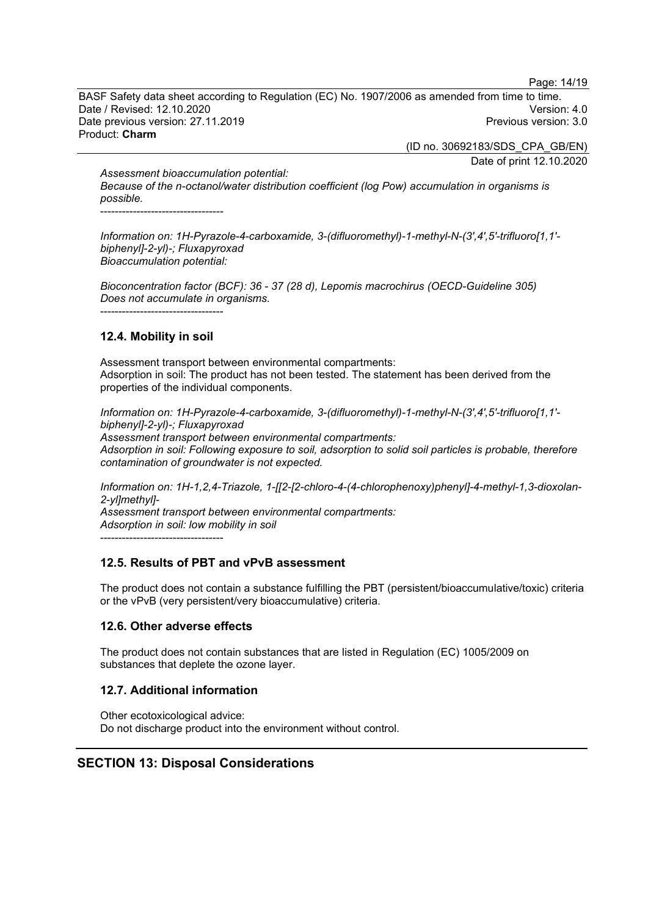Page: 14/19

BASF Safety data sheet according to Regulation (EC) No. 1907/2006 as amended from time to time. Date / Revised: 12.10.2020 Version: 4.0 Date previous version: 27.11.2019 Product: **Charm**

(ID no. 30692183/SDS\_CPA\_GB/EN)

Date of print 12.10.2020

*Assessment bioaccumulation potential: Because of the n-octanol/water distribution coefficient (log Pow) accumulation in organisms is possible.*

----------------------------------

*Information on: 1H-Pyrazole-4-carboxamide, 3-(difluoromethyl)-1-methyl-N-(3',4',5'-trifluoro[1,1' biphenyl]-2-yl)-; Fluxapyroxad Bioaccumulation potential:*

*Bioconcentration factor (BCF): 36 - 37 (28 d), Lepomis macrochirus (OECD-Guideline 305) Does not accumulate in organisms.* ----------------------------------

# **12.4. Mobility in soil**

Assessment transport between environmental compartments: Adsorption in soil: The product has not been tested. The statement has been derived from the properties of the individual components.

*Information on: 1H-Pyrazole-4-carboxamide, 3-(difluoromethyl)-1-methyl-N-(3',4',5'-trifluoro[1,1' biphenyl]-2-yl)-; Fluxapyroxad Assessment transport between environmental compartments: Adsorption in soil: Following exposure to soil, adsorption to solid soil particles is probable, therefore contamination of groundwater is not expected.*

*Information on: 1H-1,2,4-Triazole, 1-[[2-[2-chloro-4-(4-chlorophenoxy)phenyl]-4-methyl-1,3-dioxolan-2-yl]methyl]-*

*Assessment transport between environmental compartments: Adsorption in soil: low mobility in soil*

----------------------------------

# **12.5. Results of PBT and vPvB assessment**

The product does not contain a substance fulfilling the PBT (persistent/bioaccumulative/toxic) criteria or the vPvB (very persistent/very bioaccumulative) criteria.

# **12.6. Other adverse effects**

The product does not contain substances that are listed in Regulation (EC) 1005/2009 on substances that deplete the ozone layer.

# **12.7. Additional information**

Other ecotoxicological advice: Do not discharge product into the environment without control.

# **SECTION 13: Disposal Considerations**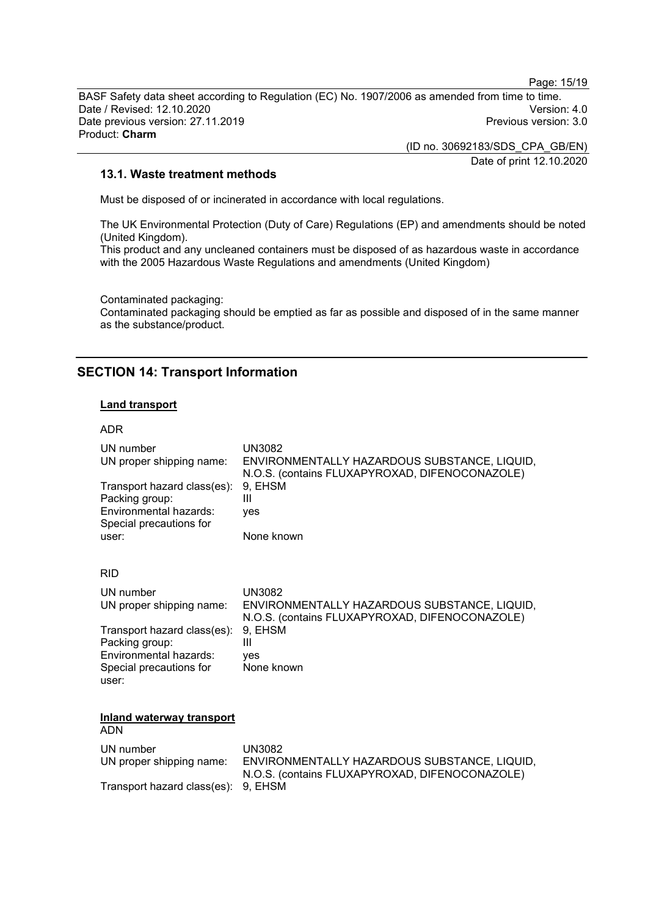Page: 15/19

BASF Safety data sheet according to Regulation (EC) No. 1907/2006 as amended from time to time. Date / Revised: 12.10.2020<br>Date previous version: 27.11.2019 Version: 3.0 Date previous version: 27.11.2019 Product: **Charm**

> (ID no. 30692183/SDS\_CPA\_GB/EN) Date of print 12.10.2020

#### **13.1. Waste treatment methods**

Must be disposed of or incinerated in accordance with local regulations.

The UK Environmental Protection (Duty of Care) Regulations (EP) and amendments should be noted (United Kingdom).

This product and any uncleaned containers must be disposed of as hazardous waste in accordance with the 2005 Hazardous Waste Regulations and amendments (United Kingdom)

Contaminated packaging:

Contaminated packaging should be emptied as far as possible and disposed of in the same manner as the substance/product.

# **SECTION 14: Transport Information**

# **Land transport**

#### ADR

| UN number<br>UN proper shipping name:                                                              | <b>UN3082</b><br>ENVIRONMENTALLY HAZARDOUS SUBSTANCE, LIQUID,<br>N.O.S. (contains FLUXAPYROXAD, DIFENOCONAZOLE) |
|----------------------------------------------------------------------------------------------------|-----------------------------------------------------------------------------------------------------------------|
| Transport hazard class(es):<br>Packing group:<br>Environmental hazards:<br>Special precautions for | 9, EHSM<br>Ш<br>ves                                                                                             |
| user:                                                                                              | None known                                                                                                      |
| <b>RID</b>                                                                                         |                                                                                                                 |
| UN number<br>UN proper shipping name:                                                              | <b>UN3082</b><br>ENVIRONMENTALLY HAZARDOUS SUBSTANCE, LIQUID,<br>N.O.S. (contains FLUXAPYROXAD, DIFENOCONAZOLE) |
| Transport hazard class(es):<br>Packing group:                                                      | 9. EHSM<br>Ш                                                                                                    |
| Environmental hazards:<br>Special precautions for<br>user:                                         | yes<br>None known                                                                                               |
| <b>Inland waterway transport</b><br><b>ADN</b>                                                     |                                                                                                                 |
| UN number<br>UN proper shipping name:                                                              | <b>UN3082</b><br>ENVIRONMENTALLY HAZARDOUS SUBSTANCE, LIQUID,<br>N.O.S. (contains FLUXAPYROXAD, DIFENOCONAZOLE) |
| Transport hazard class(es):                                                                        | 9, EHSM                                                                                                         |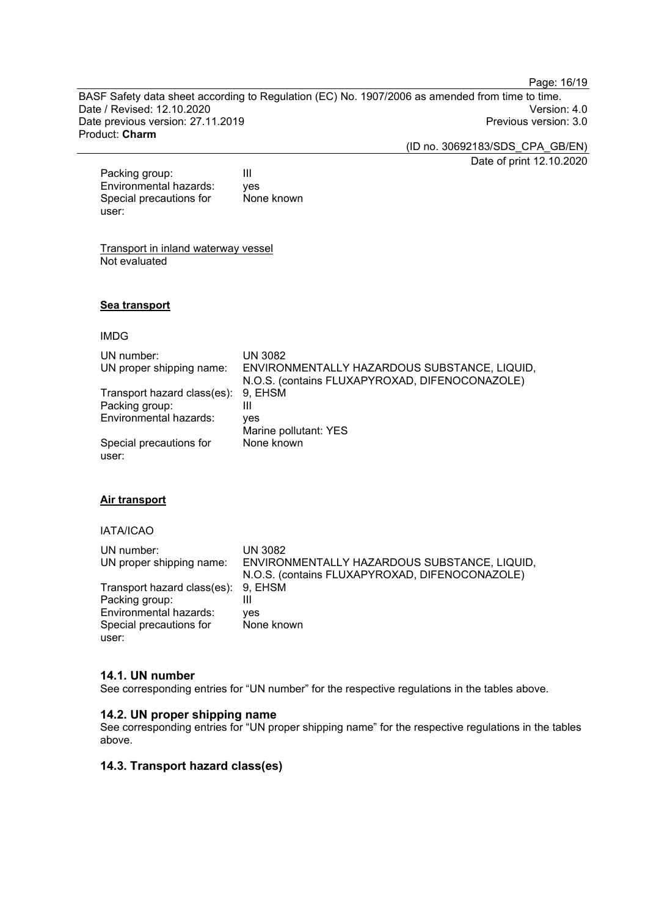Page: 16/19

BASF Safety data sheet according to Regulation (EC) No. 1907/2006 as amended from time to time. Date / Revised: 12.10.2020<br>Date previous version: 27.11.2019 Version: 3.0 Date previous version: 27.11.2019 Product: **Charm**

(ID no. 30692183/SDS\_CPA\_GB/EN)

Date of print 12.10.2020

Packing group: III<br>Environmental hazards: ves Environmental hazards: Special precautions for user: None known

Transport in inland waterway vessel Not evaluated

#### **Sea transport**

#### IMDG

| UN number:<br>UN proper shipping name: | <b>UN 3082</b><br>ENVIRONMENTALLY HAZARDOUS SUBSTANCE, LIQUID,<br>N.O.S. (contains FLUXAPYROXAD, DIFENOCONAZOLE) |
|----------------------------------------|------------------------------------------------------------------------------------------------------------------|
| Transport hazard class(es):            | 9. EHSM                                                                                                          |
| Packing group:                         | Ш                                                                                                                |
| Environmental hazards:                 | yes                                                                                                              |
|                                        | Marine pollutant: YES                                                                                            |
| Special precautions for                | None known                                                                                                       |
| user:                                  |                                                                                                                  |

#### **Air transport**

#### IATA/ICAO

| UN number:                          | UN 3082                                        |
|-------------------------------------|------------------------------------------------|
| UN proper shipping name:            | ENVIRONMENTALLY HAZARDOUS SUBSTANCE, LIQUID,   |
|                                     | N.O.S. (contains FLUXAPYROXAD, DIFENOCONAZOLE) |
| Transport hazard class(es): 9, EHSM |                                                |
| Packing group:                      | Ш                                              |
| Environmental hazards:              | ves                                            |
| Special precautions for             | None known                                     |
| user:                               |                                                |

#### **14.1. UN number**

See corresponding entries for "UN number" for the respective regulations in the tables above.

#### **14.2. UN proper shipping name**

See corresponding entries for "UN proper shipping name" for the respective regulations in the tables above.

#### **14.3. Transport hazard class(es)**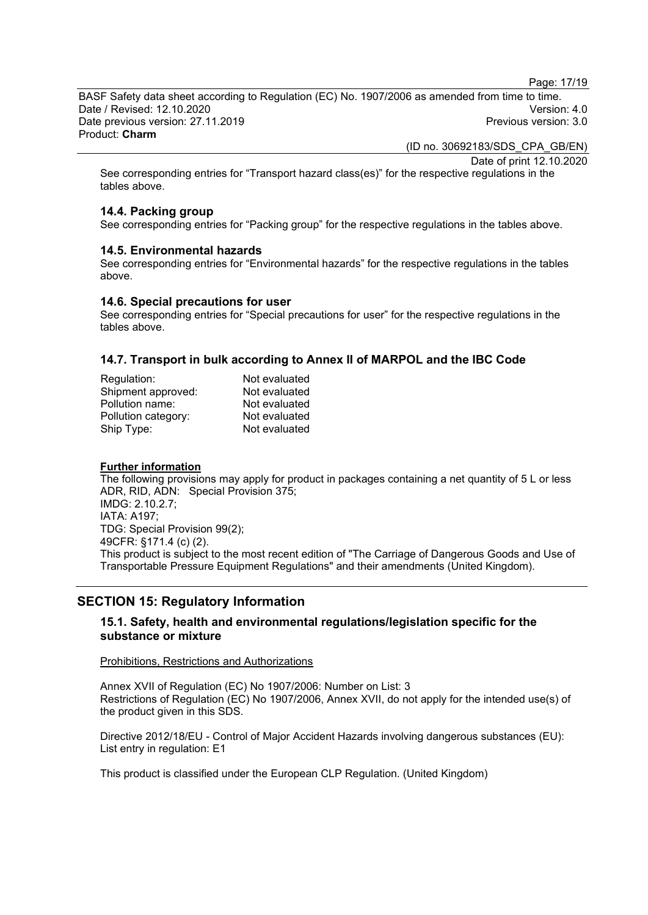Page: 17/19

BASF Safety data sheet according to Regulation (EC) No. 1907/2006 as amended from time to time. Date / Revised: 12.10.2020 Version: 4.0 Date previous version: 27.11.2019 Product: **Charm**

(ID no. 30692183/SDS\_CPA\_GB/EN)

Date of print 12.10.2020

See corresponding entries for "Transport hazard class(es)" for the respective regulations in the tables above.

# **14.4. Packing group**

See corresponding entries for "Packing group" for the respective regulations in the tables above.

#### **14.5. Environmental hazards**

See corresponding entries for "Environmental hazards" for the respective regulations in the tables above.

#### **14.6. Special precautions for user**

See corresponding entries for "Special precautions for user" for the respective regulations in the tables above.

### **14.7. Transport in bulk according to Annex II of MARPOL and the IBC Code**

| Not evaluated |
|---------------|
| Not evaluated |
| Not evaluated |
| Not evaluated |
| Not evaluated |
|               |

#### **Further information**

The following provisions may apply for product in packages containing a net quantity of 5 L or less ADR, RID, ADN: Special Provision 375; IMDG: 2.10.2.7; IATA: A197; TDG: Special Provision 99(2); 49CFR: §171.4 (c) (2). This product is subject to the most recent edition of "The Carriage of Dangerous Goods and Use of Transportable Pressure Equipment Regulations" and their amendments (United Kingdom).

# **SECTION 15: Regulatory Information**

#### **15.1. Safety, health and environmental regulations/legislation specific for the substance or mixture**

#### Prohibitions, Restrictions and Authorizations

Annex XVII of Regulation (EC) No 1907/2006: Number on List: 3 Restrictions of Regulation (EC) No 1907/2006, Annex XVII, do not apply for the intended use(s) of the product given in this SDS.

Directive 2012/18/EU - Control of Major Accident Hazards involving dangerous substances (EU): List entry in regulation: E1

This product is classified under the European CLP Regulation. (United Kingdom)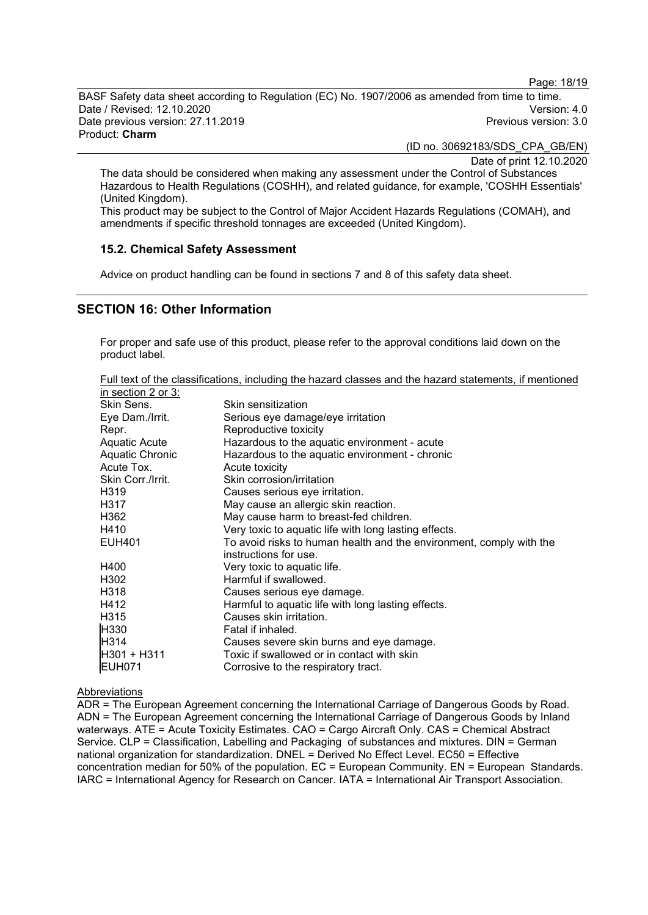Page: 18/19

BASF Safety data sheet according to Regulation (EC) No. 1907/2006 as amended from time to time. Date / Revised: 12.10.2020 Version: 4.0 Date previous version: 27.11.2019 Product: **Charm**

(ID no. 30692183/SDS\_CPA\_GB/EN)

Date of print 12.10.2020

The data should be considered when making any assessment under the Control of Substances Hazardous to Health Regulations (COSHH), and related guidance, for example, 'COSHH Essentials' (United Kingdom).

This product may be subject to the Control of Major Accident Hazards Regulations (COMAH), and amendments if specific threshold tonnages are exceeded (United Kingdom).

#### **15.2. Chemical Safety Assessment**

Advice on product handling can be found in sections 7 and 8 of this safety data sheet.

# **SECTION 16: Other Information**

For proper and safe use of this product, please refer to the approval conditions laid down on the product label.

Full text of the classifications, including the hazard classes and the hazard statements, if mentioned in section 2 or 3:

| Skin Sens.        | Skin sensitization                                                  |
|-------------------|---------------------------------------------------------------------|
| Eye Dam./Irrit.   | Serious eye damage/eye irritation                                   |
| Repr.             | Reproductive toxicity                                               |
| Aquatic Acute     | Hazardous to the aquatic environment - acute                        |
| Aquatic Chronic   | Hazardous to the aquatic environment - chronic                      |
| Acute Tox.        | Acute toxicity                                                      |
| Skin Corr./Irrit. | Skin corrosion/irritation                                           |
| H319              | Causes serious eye irritation.                                      |
| H317              | May cause an allergic skin reaction.                                |
| H362              | May cause harm to breast-fed children.                              |
| H410              | Very toxic to aquatic life with long lasting effects.               |
| <b>EUH401</b>     | To avoid risks to human health and the environment, comply with the |
|                   | instructions for use.                                               |
| H400              | Very toxic to aquatic life.                                         |
| H302              | Harmful if swallowed.                                               |
| H318              | Causes serious eye damage.                                          |
| H412              | Harmful to aquatic life with long lasting effects.                  |
| H315              | Causes skin irritation.                                             |
| H330              | Fatal if inhaled.                                                   |
| H314              | Causes severe skin burns and eye damage.                            |
| H301 + H311       | Toxic if swallowed or in contact with skin                          |
| <b>EUH071</b>     | Corrosive to the respiratory tract.                                 |

#### Abbreviations

ADR = The European Agreement concerning the International Carriage of Dangerous Goods by Road. ADN = The European Agreement concerning the International Carriage of Dangerous Goods by Inland waterways. ATE = Acute Toxicity Estimates. CAO = Cargo Aircraft Only. CAS = Chemical Abstract Service. CLP = Classification, Labelling and Packaging of substances and mixtures. DIN = German national organization for standardization. DNEL = Derived No Effect Level. EC50 = Effective concentration median for 50% of the population. EC = European Community. EN = European Standards. IARC = International Agency for Research on Cancer. IATA = International Air Transport Association.